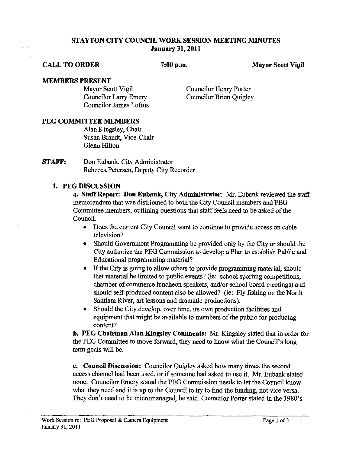### **STAYTON CITY COUNCIL WORK SESSION MEETING MINUTES January 31,2011**

#### **CALL TO ORDER 7:00 p.m. Mayor Scott Vigil**

# **MEMBERS PRESENT**<br>Mayor Scott Vigil

Councilor James Loftus

Councilor Henry Porter Councilor Larry Emery Councilor Brian Quigley

### **PEG COMMITTEE MEMBERS**

Alan Kingsley, Chair Susan Brandt, Vice-Chair Glenn Hilton

**STAFF:** Don Eubank, City Administrator Rebecca Petersen, Deputy City Recorder

### **1. PEG DISCUSSION**

**a. Staff Report: Don Eubank, City Administrator: Mr.** Eubank reviewed the staff memorandum that was distributed to both the City Council members and PEG Committee members, outlining questions that staff feels need to be asked of the Council.

- $\bullet$ Does the current City Council want to continue to provide access on cable television?
- Should Government Programming be provided only by the City or should the  $\bullet$ City authorize the PEG Commission to develop a Plan to establish Public and Educational programming material?
- If the City is going to allow others to provide programming material, should that material be limited to public events? (ie: school sporting competitions, chamber of commerce luncheon speakers, and/or school board meetings) and should self-produced content also be allowed? (ie: Fly fishing on the North Santiam River, **art** lessons and dramatic productions).
- Should the City develop, over time, its own production facilities and equipment that might be available to members of the public for producing content?

**b. PEG Chairman Alan Kingsley Comments: Mr.** Kingsley stated that in order for the PEG Committee to move forward, they need to know what the Council's long term goals will be.

**c. Council Discussion:** Councilor Quigley asked how many times the second access channel had been used, or if someone had asked to use it. Mr. Eubank stated none. Councilor Emery stated the PEG Commission needs to let the Council know what they need and it is up to the Council to **try** to find the funding, not vice versa. They don't need to be micromanaged, he said. Councilor Porter stated in the 1980's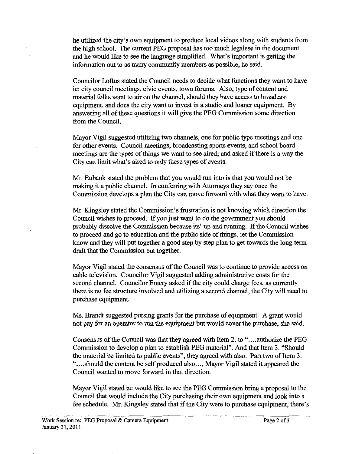he utilized the city's own equipment to produce local videos along with students from the high school. The current PEG proposal has too much legalese in the document and he would like to see the language simplified. What's important is getting the information out to as many community members as possible, he said.

Councilor Loftus stated the Council needs to decide what functions they want to have ie: city council meetings, civic events, town forums. Also, type of content and material folks want to air on the channel, should they have access to broadcast equipment, and does the city want to invest in a studio and loaner equipment. By answering all of these questions it will give the PEG Commission some direction from the Council.

Mayor Vigil suggested utilizing two channels, one for public type meetings and one for other events. Council meetings, broadcasting sports events, and school board meetings are the types of things we want to see aired; and asked if there is a way the City can limit what's aired to only these types of events.

Mr. Eubank stated the problem that you would run into is that you would not be making it a public channel. In conferring with Attorneys they say once the Commission develops a plan the City can move forward **with** what they want to have.

Mr. Kingsley stated the Commission's frustration is not knowing which direction the Council wishes to proceed. If you just want to do the government you should probably dissolve the Commission because its' up and running. If the Council wishes to proceed and go to education and the public side of things, let the Commission know and they will put together a good step by step plan to get towards the long term draft that the Commission put together.

Mayor Vigil stated the consensus of the Council was to continue to provide access on cable television. Councilor Vigil suggested adding administrative costs for the second channel. Councilor Emery asked if the city could charge fees, as currently there is no fee structure involved and utilizing a second channel, the City will need to purchase equipment.

Ms. Brandt suggested pursing grants for the purchase of equipment. A grant would not pay for an operator to run the equipment but would cover the purchase, she said.

Consensus of the Council was that they agreed with Item 2. to "....authorize the PEG Commission to develop a plan to establish PEG material". And that Item **3.** "Should the material be limited to public events", they agreed with also. Part two of Item **3.**  "....should the content be self produced also..., Mayor Vigil stated it appeared the Council wanted to move forward in that direction.

Mayor Vigil stated he would like to see the PEG Commission bring a proposal to the Council that would include the City purchasing their own equipment and look into a fee schedule. Mr. Kingsley stated that if the City were to purchase equipment, there's